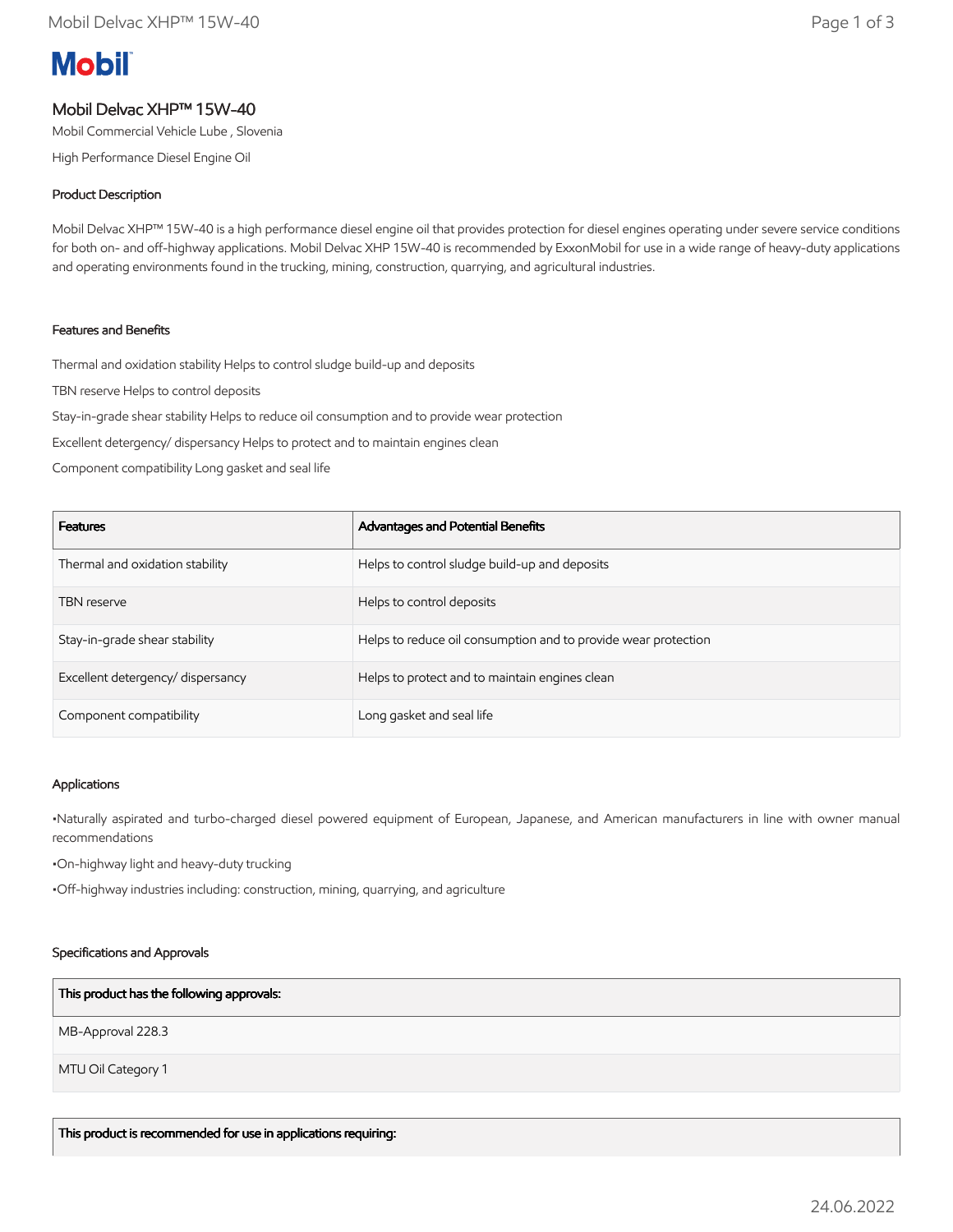# **Mobil**

## Mobil Delvac XHP™ 15W-40

Mobil Commercial Vehicle Lube , Slovenia

High Performance Diesel Engine Oil

#### Product Description

Mobil Delvac XHP™ 15W-40 is a high performance diesel engine oil that provides protection for diesel engines operating under severe service conditions for both on- and off-highway applications. Mobil Delvac XHP 15W-40 is recommended by ExxonMobil for use in a wide range of heavy-duty applications and operating environments found in the trucking, mining, construction, quarrying, and agricultural industries.

### Features and Benefits

Thermal and oxidation stability Helps to control sludge build-up and deposits

TBN reserve Helps to control deposits

Stay-in-grade shear stability Helps to reduce oil consumption and to provide wear protection

Excellent detergency/ dispersancy Helps to protect and to maintain engines clean

Component compatibility Long gasket and seal life

| <b>Features</b>                   | Advantages and Potential Benefits                              |
|-----------------------------------|----------------------------------------------------------------|
| Thermal and oxidation stability   | Helps to control sludge build-up and deposits                  |
| <b>TBN</b> reserve                | Helps to control deposits                                      |
| Stay-in-grade shear stability     | Helps to reduce oil consumption and to provide wear protection |
| Excellent detergency/ dispersancy | Helps to protect and to maintain engines clean                 |
| Component compatibility           | Long gasket and seal life                                      |

#### Applications

•Naturally aspirated and turbo-charged diesel powered equipment of European, Japanese, and American manufacturers in line with owner manual recommendations

•On-highway light and heavy-duty trucking

•Off-highway industries including: construction, mining, quarrying, and agriculture

#### Specifications and Approvals

#### This product has the following approvals:

MB-Approval 228.3

MTU Oil Category 1

This product is recommended for use in applications requiring: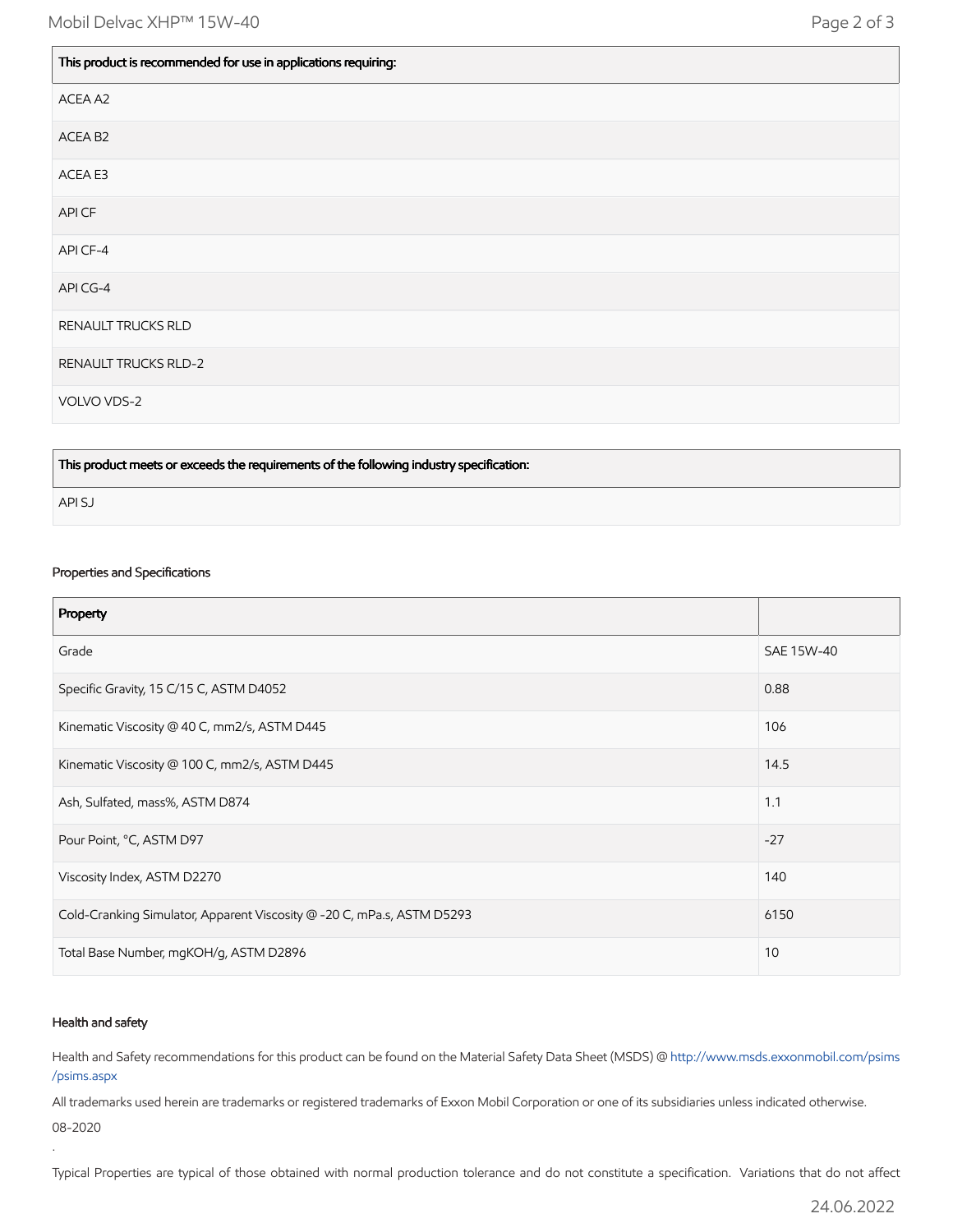$\mathbb{L}$ 

 $\blacksquare$ 

| This product is recommended for use in applications requiring: |
|----------------------------------------------------------------|
| ACEA A2                                                        |
| ACEA B <sub>2</sub>                                            |
| ACEA E3                                                        |
| API CF                                                         |
| API CF-4                                                       |
| API CG-4                                                       |
| RENAULT TRUCKS RLD                                             |
| <b>RENAULT TRUCKS RLD-2</b>                                    |
| VOLVO VDS-2                                                    |

This product meets or exceeds the requirements of the following industry specification:

API SJ

#### Properties and Specifications

| Property                                                               |            |
|------------------------------------------------------------------------|------------|
| Grade                                                                  | SAE 15W-40 |
| Specific Gravity, 15 C/15 C, ASTM D4052                                | 0.88       |
| Kinematic Viscosity @ 40 C, mm2/s, ASTM D445                           | 106        |
| Kinematic Viscosity @ 100 C, mm2/s, ASTM D445                          | 14.5       |
| Ash, Sulfated, mass%, ASTM D874                                        | 1.1        |
| Pour Point, °C, ASTM D97                                               | $-27$      |
| Viscosity Index, ASTM D2270                                            | 140        |
| Cold-Cranking Simulator, Apparent Viscosity @ -20 C, mPa.s, ASTM D5293 | 6150       |
| Total Base Number, mgKOH/g, ASTM D2896                                 | 10         |

#### Health and safety

.

Health and Safety recommendations for this product can be found on the Material Safety Data Sheet (MSDS) @ [http://www.msds.exxonmobil.com/psims](http://www.msds.exxonmobil.com/psims/psims.aspx) /psims.aspx

All trademarks used herein are trademarks or registered trademarks of Exxon Mobil Corporation or one of its subsidiaries unless indicated otherwise. 08-2020

Typical Properties are typical of those obtained with normal production tolerance and do not constitute a specification. Variations that do not affect